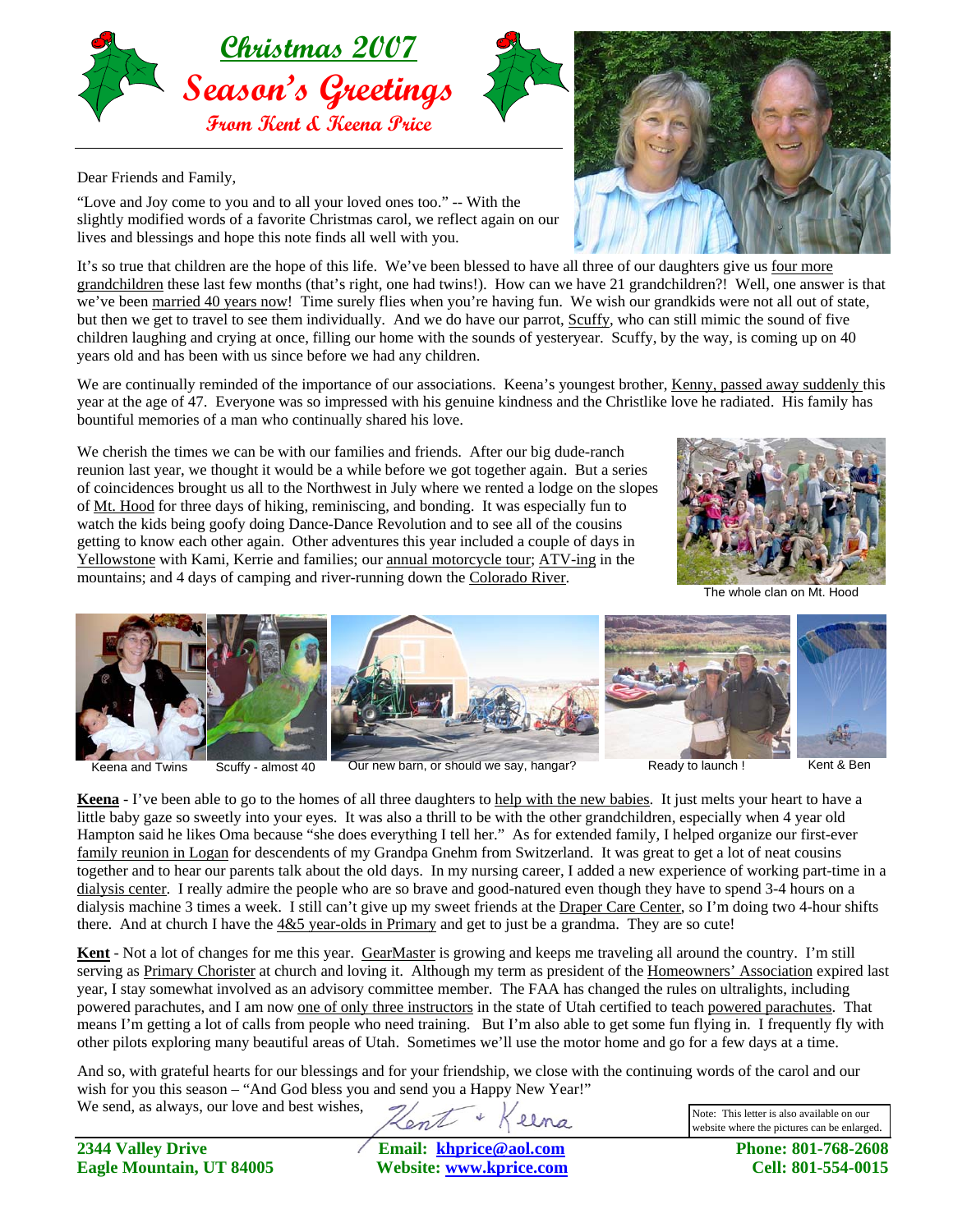



Dear Friends and Family,

"Love and Joy come to you and to all your loved ones too." -- With the slightly modified words of a favorite Christmas carol, we reflect again on our lives and blessings and hope this note finds all well with you.

It's so true that children are the hope of this life. We've been blessed to have all three of our daughters give us four more grandchildren these last few months (that's right, one had twins!). How can we have 21 grandchildren?! Well, one answer is that we've been married 40 years now! Time surely flies when you're having fun. We wish our grandkids were not all out of state, but then we get to travel to see them individually. And we do have our parrot, Scuffy, who can still mimic the sound of five children laughing and crying at once, filling our home with the sounds of yesteryear. Scuffy, by the way, is coming up on 40 years old and has been with us since before we had any children.

We are continually reminded of the importance of our associations. Keena's youngest brother, Kenny, passed away suddenly this year at the age of 47. Everyone was so impressed with his genuine kindness and the Christlike love he radiated. His family has bountiful memories of a man who continually shared his love.

We cherish the times we can be with our families and friends. After our big dude-ranch reunion last year, we thought it would be a while before we got together again. But a series of coincidences brought us all to the Northwest in July where we rented a lodge on the slopes of Mt. Hood for three days of hiking, reminiscing, and bonding. It was especially fun to watch the kids being goofy doing Dance-Dance Revolution and to see all of the cousins getting to know each other again. Other adventures this year included a couple of days in Yellowstone with Kami, Kerrie and families; our annual motorcycle tour; ATV-ing in the mountains; and 4 days of camping and river-running down the Colorado River.



The whole clan on Mt. Hood



Keena and Twins Scuffy - almost 40 Our new barn, or should we say, hangar? Ready to launch ! Kent & Ben

**Keena** - I've been able to go to the homes of all three daughters to help with the new babies. It just melts your heart to have a little baby gaze so sweetly into your eyes. It was also a thrill to be with the other grandchildren, especially when 4 year old Hampton said he likes Oma because "she does everything I tell her." As for extended family, I helped organize our first-ever family reunion in Logan for descendents of my Grandpa Gnehm from Switzerland. It was great to get a lot of neat cousins together and to hear our parents talk about the old days. In my nursing career, I added a new experience of working part-time in a dialysis center. I really admire the people who are so brave and good-natured even though they have to spend 3-4 hours on a dialysis machine 3 times a week. I still can't give up my sweet friends at the Draper Care Center, so I'm doing two 4-hour shifts there. And at church I have the  $4&5$  year-olds in Primary and get to just be a grandma. They are so cute!

**Kent** - Not a lot of changes for me this year. GearMaster is growing and keeps me traveling all around the country. I'm still serving as Primary Chorister at church and loving it. Although my term as president of the Homeowners' Association expired last year, I stay somewhat involved as an advisory committee member. The FAA has changed the rules on ultralights, including powered parachutes, and I am now one of only three instructors in the state of Utah certified to teach powered parachutes. That means I'm getting a lot of calls from people who need training. But I'm also able to get some fun flying in. I frequently fly with other pilots exploring many beautiful areas of Utah. Sometimes we'll use the motor home and go for a few days at a time.

And so, with grateful hearts for our blessings and for your friendship, we close with the continuing words of the carol and our wish for you this season – "And God bless you and send you a Happy New Year!"

We send, as always, our love and best wishes,

Note: This letter is also available on our website where the pictures can be enlarged.

**2344 Valley Drive Email: [khprice@aol.com](mailto:khprice@aol.com) Phone: 801-768-2608 Eagle Mountain, UT 84005 Website: [www.kprice.com](http://www.kprice.com/) Cell: 801-554-0015**